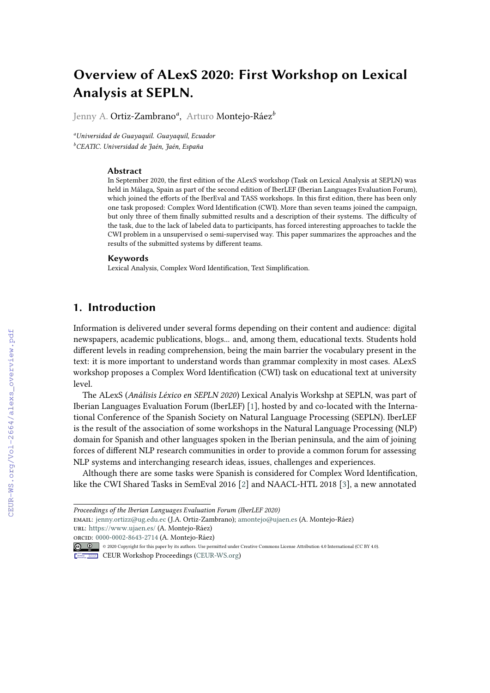# **Overview of ALexS 2020: First Workshop on Lexical Analysis at SEPLN.**

Jenny A. Ortiz-Zambrano*<sup>a</sup>* , Arturo Montejo-Ráez*<sup>b</sup>*

*<sup>a</sup>Universidad de Guayaquil. Guayaquil, Ecuador <sup>b</sup>CEATIC. Universidad de Jaén, Jaén, España*

#### **Abstract**

In September 2020, the first edition of the ALexS workshop (Task on Lexical Analysis at SEPLN) was held in Málaga, Spain as part of the second edition of IberLEF (Iberian Languages Evaluation Forum), which joined the efforts of the IberEval and TASS workshops. In this first edition, there has been only one task proposed: Complex Word Identification (CWI). More than seven teams joined the campaign, but only three of them finally submitted results and a description of their systems. The difficulty of the task, due to the lack of labeled data to participants, has forced interesting approaches to tackle the CWI problem in a unsupervised o semi-supervised way. This paper summarizes the approaches and the results of the submitted systems by different teams.

#### **Keywords**

Lexical Analysis, Complex Word Identification, Text Simplification.

## **1. Introduction**

Information is delivered under several forms depending on their content and audience: digital newspapers, academic publications, blogs... and, among them, educational texts. Students hold different levels in reading comprehension, being the main barrier the vocabulary present in the text: it is more important to understand words than grammar complexity in most cases. ALexS workshop proposes a Complex Word Identification (CWI) task on educational text at university level.

The ALexS (*Análisis Léxico en SEPLN 2020*) Lexical Analyis Workshp at SEPLN, was part of Iberian Languages Evaluation Forum (IberLEF) [\[1\]](#page--1-0), hosted by and co-located with the International Conference of the Spanish Society on Natural Language Processing (SEPLN). IberLEF is the result of the association of some workshops in the Natural Language Processing (NLP) domain for Spanish and other languages spoken in the Iberian peninsula, and the aim of joining forces of different NLP research communities in order to provide a common forum for assessing NLP systems and interchanging research ideas, issues, challenges and experiences.

Although there are some tasks were Spanish is considered for Complex Word Identification, like the CWI Shared Tasks in SemEval 2016 [\[2\]](#page--1-1) and NAACL-HTL 2018 [\[3\]](#page--1-2), a new annotated

*Proceedings of the Iberian Languages Evaluation Forum (IberLEF 2020)*

email: [jenny.ortizz@ug.edu.ec](mailto:jenny.ortizz@ug.edu.ec) (J.A. Ortiz-Zambrano); [amontejo@ujaen.es](mailto:amontejo@ujaen.es) (A. Montejo-Ráez) url: <https://www.ujaen.es/> (A. Montejo-Ráez)

orcid: [0000-0002-8643-2714](https://orcid.org/0000-0002-8643-2714) (A. Montejo-Ráez) © 2020 Copyright for this paper by its authors. Use permitted under Creative Commons License Attribution 4.0 International (CC BY 4.0).

CEUR Workshop [Proceedings](http://ceur-ws.org) [\(CEUR-WS.org\)](http://ceur-ws.org)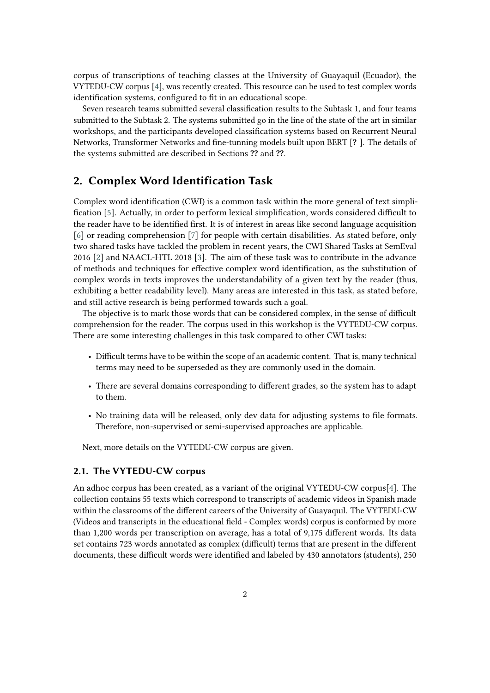corpus of transcriptions of teaching classes at the University of Guayaquil (Ecuador), the VYTEDU-CW corpus [\[4\]](#page-5-0), was recently created. This resource can be used to test complex words identification systems, configured to fit in an educational scope.

Seven research teams submitted several classification results to the Subtask 1, and four teams submitted to the Subtask 2. The systems submitted go in the line of the state of the art in similar workshops, and the participants developed classification systems based on Recurrent Neural Networks, Transformer Networks and fine-tunning models built upon BERT [**?** ]. The details of the systems submitted are described in Sections **??** and **??**.

## **2. Complex Word Identification Task**

Complex word identification (CWI) is a common task within the more general of text simplification [\[5\]](#page-5-1). Actually, in order to perform lexical simplification, words considered difficult to the reader have to be identified first. It is of interest in areas like second language acquisition [\[6\]](#page-5-2) or reading comprehension [\[7\]](#page-5-3) for people with certain disabilities. As stated before, only two shared tasks have tackled the problem in recent years, the CWI Shared Tasks at SemEval 2016 [\[2\]](#page-5-4) and NAACL-HTL 2018 [\[3\]](#page-5-5). The aim of these task was to contribute in the advance of methods and techniques for effective complex word identification, as the substitution of complex words in texts improves the understandability of a given text by the reader (thus, exhibiting a better readability level). Many areas are interested in this task, as stated before, and still active research is being performed towards such a goal.

The objective is to mark those words that can be considered complex, in the sense of difficult comprehension for the reader. The corpus used in this workshop is the VYTEDU-CW corpus. There are some interesting challenges in this task compared to other CWI tasks:

- Difficult terms have to be within the scope of an academic content. That is, many technical terms may need to be superseded as they are commonly used in the domain.
- There are several domains corresponding to different grades, so the system has to adapt to them.
- No training data will be released, only dev data for adjusting systems to file formats. Therefore, non-supervised or semi-supervised approaches are applicable.

Next, more details on the VYTEDU-CW corpus are given.

#### **2.1. The VYTEDU-CW corpus**

An adhoc corpus has been created, as a variant of the original VYTEDU-CW corpus[\[4\]](#page-5-0). The collection contains 55 texts which correspond to transcripts of academic videos in Spanish made within the classrooms of the different careers of the University of Guayaquil. The VYTEDU-CW (Videos and transcripts in the educational field - Complex words) corpus is conformed by more than 1,200 words per transcription on average, has a total of 9,175 different words. Its data set contains 723 words annotated as complex (difficult) terms that are present in the different documents, these difficult words were identified and labeled by 430 annotators (students), 250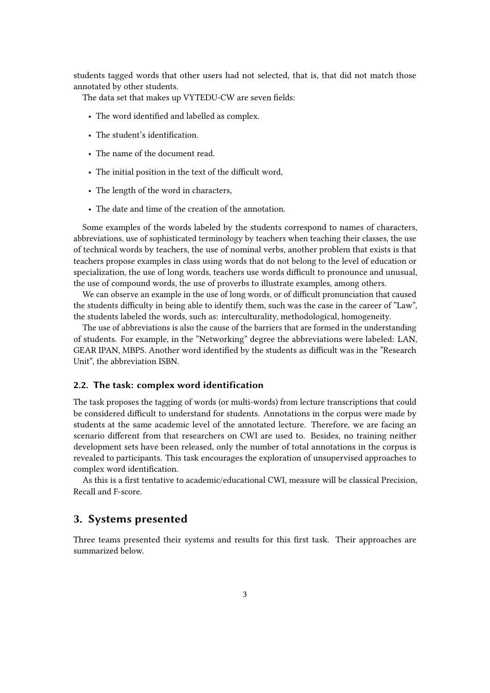students tagged words that other users had not selected, that is, that did not match those annotated by other students.

The data set that makes up VYTEDU-CW are seven fields:

- The word identified and labelled as complex.
- The student's identification.
- The name of the document read.
- The initial position in the text of the difficult word,
- The length of the word in characters,
- The date and time of the creation of the annotation.

Some examples of the words labeled by the students correspond to names of characters, abbreviations, use of sophisticated terminology by teachers when teaching their classes, the use of technical words by teachers, the use of nominal verbs, another problem that exists is that teachers propose examples in class using words that do not belong to the level of education or specialization, the use of long words, teachers use words difficult to pronounce and unusual, the use of compound words, the use of proverbs to illustrate examples, among others.

We can observe an example in the use of long words, or of difficult pronunciation that caused the students difficulty in being able to identify them, such was the case in the career of "Law", the students labeled the words, such as: interculturality, methodological, homogeneity.

The use of abbreviations is also the cause of the barriers that are formed in the understanding of students. For example, in the "Networking" degree the abbreviations were labeled: LAN, GEAR IPAN, MBPS. Another word identified by the students as difficult was in the "Research Unit", the abbreviation ISBN.

#### **2.2. The task: complex word identification**

The task proposes the tagging of words (or multi-words) from lecture transcriptions that could be considered difficult to understand for students. Annotations in the corpus were made by students at the same academic level of the annotated lecture. Therefore, we are facing an scenario different from that researchers on CWI are used to. Besides, no training neither development sets have been released, only the number of total annotations in the corpus is revealed to participants. This task encourages the exploration of unsupervised approaches to complex word identification.

As this is a first tentative to academic/educational CWI, measure will be classical Precision, Recall and F-score.

### **3. Systems presented**

Three teams presented their systems and results for this first task. Their approaches are summarized below.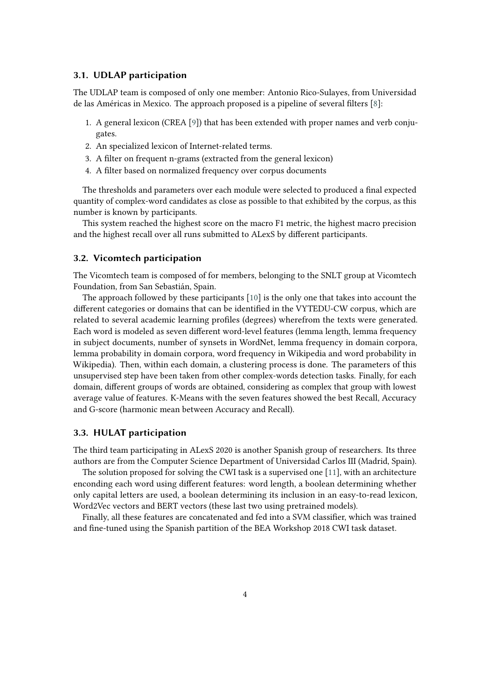#### **3.1. UDLAP participation**

The UDLAP team is composed of only one member: Antonio Rico-Sulayes, from Universidad de las Américas in Mexico. The approach proposed is a pipeline of several filters [\[8\]](#page-5-6):

- 1. A general lexicon (CREA [\[9\]](#page-5-7)) that has been extended with proper names and verb conjugates.
- 2. An specialized lexicon of Internet-related terms.
- 3. A filter on frequent n-grams (extracted from the general lexicon)
- 4. A filter based on normalized frequency over corpus documents

The thresholds and parameters over each module were selected to produced a final expected quantity of complex-word candidates as close as possible to that exhibited by the corpus, as this number is known by participants.

This system reached the highest score on the macro F1 metric, the highest macro precision and the highest recall over all runs submitted to ALexS by different participants.

#### **3.2. Vicomtech participation**

The Vicomtech team is composed of for members, belonging to the SNLT group at Vicomtech Foundation, from San Sebastián, Spain.

The approach followed by these participants [\[10\]](#page-5-8) is the only one that takes into account the different categories or domains that can be identified in the VYTEDU-CW corpus, which are related to several academic learning profiles (degrees) wherefrom the texts were generated. Each word is modeled as seven different word-level features (lemma length, lemma frequency in subject documents, number of synsets in WordNet, lemma frequency in domain corpora, lemma probability in domain corpora, word frequency in Wikipedia and word probability in Wikipedia). Then, within each domain, a clustering process is done. The parameters of this unsupervised step have been taken from other complex-words detection tasks. Finally, for each domain, different groups of words are obtained, considering as complex that group with lowest average value of features. K-Means with the seven features showed the best Recall, Accuracy and G-score (harmonic mean between Accuracy and Recall).

#### **3.3. HULAT participation**

The third team participating in ALexS 2020 is another Spanish group of researchers. Its three authors are from the Computer Science Department of Universidad Carlos III (Madrid, Spain).

The solution proposed for solving the CWI task is a supervised one [\[11\]](#page-5-9), with an architecture enconding each word using different features: word length, a boolean determining whether only capital letters are used, a boolean determining its inclusion in an easy-to-read lexicon, Word2Vec vectors and BERT vectors (these last two using pretrained models).

Finally, all these features are concatenated and fed into a SVM classifier, which was trained and fine-tuned using the Spanish partition of the BEA Workshop 2018 CWI task dataset.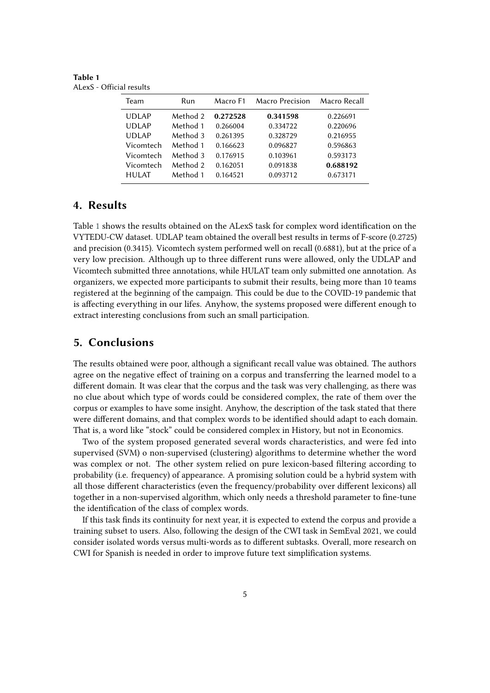<span id="page-4-0"></span>**Table 1** ALexS - Official results

| Team         | Run      | Macro F1 | Macro Precision | Macro Recall |
|--------------|----------|----------|-----------------|--------------|
| <b>UDLAP</b> | Method 2 | 0.272528 | 0.341598        | 0.226691     |
| <b>UDLAP</b> | Method 1 | 0.266004 | 0.334722        | 0.220696     |
| <b>UDLAP</b> | Method 3 | 0.261395 | 0.328729        | 0.216955     |
| Vicomtech    | Method 1 | 0.166623 | 0.096827        | 0.596863     |
| Vicomtech    | Method 3 | 0.176915 | 0.103961        | 0.593173     |
| Vicomtech    | Method 2 | 0.162051 | 0.091838        | 0.688192     |
| <b>HULAT</b> | Method 1 | 0.164521 | 0.093712        | 0.673171     |

## **4. Results**

Table [1](#page-4-0) shows the results obtained on the ALexS task for complex word identification on the VYTEDU-CW dataset. UDLAP team obtained the overall best results in terms of F-score (0.2725) and precision (0.3415). Vicomtech system performed well on recall (0.6881), but at the price of a very low precision. Although up to three different runs were allowed, only the UDLAP and Vicomtech submitted three annotations, while HULAT team only submitted one annotation. As organizers, we expected more participants to submit their results, being more than 10 teams registered at the beginning of the campaign. This could be due to the COVID-19 pandemic that is affecting everything in our lifes. Anyhow, the systems proposed were different enough to extract interesting conclusions from such an small participation.

## **5. Conclusions**

The results obtained were poor, although a significant recall value was obtained. The authors agree on the negative effect of training on a corpus and transferring the learned model to a different domain. It was clear that the corpus and the task was very challenging, as there was no clue about which type of words could be considered complex, the rate of them over the corpus or examples to have some insight. Anyhow, the description of the task stated that there were different domains, and that complex words to be identified should adapt to each domain. That is, a word like "stock" could be considered complex in History, but not in Economics.

Two of the system proposed generated several words characteristics, and were fed into supervised (SVM) o non-supervised (clustering) algorithms to determine whether the word was complex or not. The other system relied on pure lexicon-based filtering according to probability (i.e. frequency) of appearance. A promising solution could be a hybrid system with all those different characteristics (even the frequency/probability over different lexicons) all together in a non-supervised algorithm, which only needs a threshold parameter to fine-tune the identification of the class of complex words.

If this task finds its continuity for next year, it is expected to extend the corpus and provide a training subset to users. Also, following the design of the CWI task in SemEval 2021, we could consider isolated words versus multi-words as to different subtasks. Overall, more research on CWI for Spanish is needed in order to improve future text simplification systems.